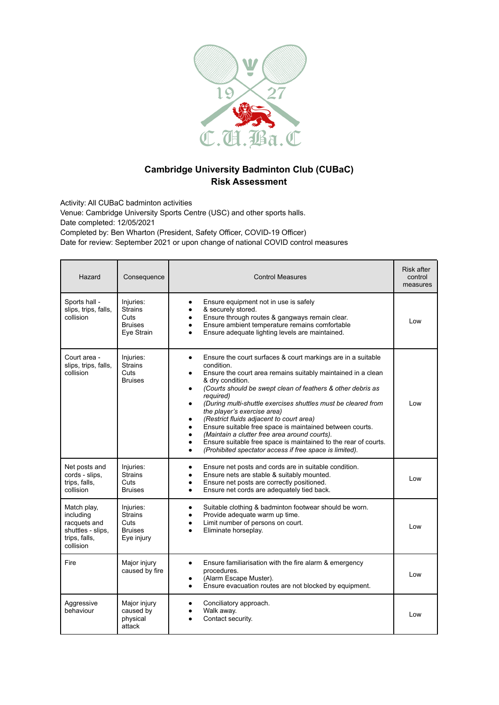

## **Cambridge University Badminton Club (CUBaC) Risk Assessment**

Activity: All CUBaC badminton activities

Venue: Cambridge University Sports Centre (USC) and other sports halls. Date completed: 12/05/2021 Completed by: Ben Wharton (President, Safety Officer, COVID-19 Officer) Date for review: September 2021 or upon change of national COVID control measures

| Hazard                                                                                      | Consequence                                                         | <b>Control Measures</b>                                                                                                                                                                                                                                                                                                                                                                                                                                                                                                                                                                                                                             | <b>Risk after</b><br>control<br>measures |
|---------------------------------------------------------------------------------------------|---------------------------------------------------------------------|-----------------------------------------------------------------------------------------------------------------------------------------------------------------------------------------------------------------------------------------------------------------------------------------------------------------------------------------------------------------------------------------------------------------------------------------------------------------------------------------------------------------------------------------------------------------------------------------------------------------------------------------------------|------------------------------------------|
| Sports hall -<br>slips, trips, falls,<br>collision                                          | Injuries:<br><b>Strains</b><br>Cuts<br><b>Bruises</b><br>Eye Strain | Ensure equipment not in use is safely<br>& securely stored.<br>Ensure through routes & gangways remain clear.<br>Ensure ambient temperature remains comfortable<br>Ensure adequate lighting levels are maintained.                                                                                                                                                                                                                                                                                                                                                                                                                                  | Low                                      |
| Court area -<br>slips, trips, falls,<br>collision                                           | Injuries:<br><b>Strains</b><br>Cuts<br><b>Bruises</b>               | Ensure the court surfaces & court markings are in a suitable<br>$\bullet$<br>condition.<br>Ensure the court area remains suitably maintained in a clean<br>& dry condition.<br>(Courts should be swept clean of feathers & other debris as<br>required)<br>(During multi-shuttle exercises shuttles must be cleared from<br>٠<br>the player's exercise area)<br>(Restrict fluids adjacent to court area)<br>Ensure suitable free space is maintained between courts.<br>(Maintain a clutter free area around courts).<br>Ensure suitable free space is maintained to the rear of courts.<br>(Prohibited spectator access if free space is limited). | Low                                      |
| Net posts and<br>cords - slips,<br>trips, falls,<br>collision                               | Injuries:<br><b>Strains</b><br>Cuts<br><b>Bruises</b>               | Ensure net posts and cords are in suitable condition.<br>$\bullet$<br>Ensure nets are stable & suitably mounted.<br>Ensure net posts are correctly positioned.<br>Ensure net cords are adequately tied back.<br>$\bullet$                                                                                                                                                                                                                                                                                                                                                                                                                           | Low                                      |
| Match play,<br>including<br>racquets and<br>shuttles - slips,<br>trips, falls,<br>collision | Injuries:<br><b>Strains</b><br>Cuts<br><b>Bruises</b><br>Eye injury | Suitable clothing & badminton footwear should be worn.<br>$\bullet$<br>Provide adequate warm up time.<br>Limit number of persons on court.<br>Eliminate horseplay.                                                                                                                                                                                                                                                                                                                                                                                                                                                                                  | Low                                      |
| Fire                                                                                        | Major injury<br>caused by fire                                      | Ensure familiarisation with the fire alarm & emergency<br>$\bullet$<br>procedures.<br>(Alarm Escape Muster).<br>Ensure evacuation routes are not blocked by equipment.                                                                                                                                                                                                                                                                                                                                                                                                                                                                              | Low                                      |
| Aggressive<br>behaviour                                                                     | Major injury<br>caused by<br>physical<br>attack                     | Conciliatory approach.<br>Walk away.<br>Contact security.                                                                                                                                                                                                                                                                                                                                                                                                                                                                                                                                                                                           | Low                                      |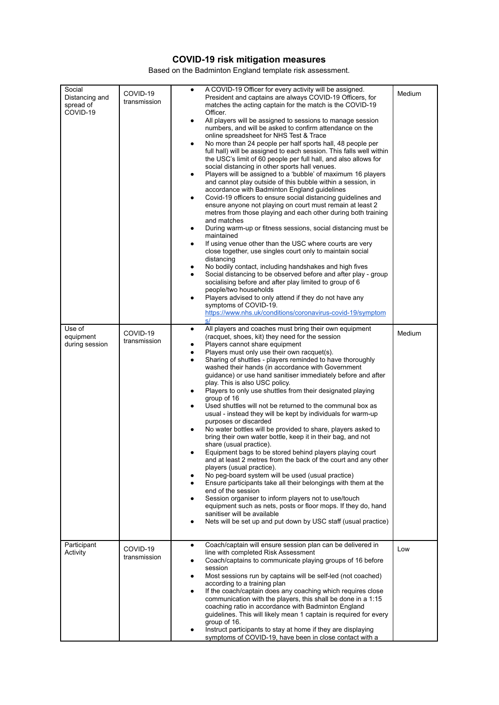## **COVID-19 risk mitigation measures**

Based on the Badminton England template risk assessment.

| Social<br>Distancing and<br>spread of<br>COVID-19 | COVID-19<br>transmission | A COVID-19 Officer for every activity will be assigned.<br>President and captains are always COVID-19 Officers, for<br>matches the acting captain for the match is the COVID-19<br>Officer.<br>All players will be assigned to sessions to manage session<br>numbers, and will be asked to confirm attendance on the<br>online spreadsheet for NHS Test & Trace<br>No more than 24 people per half sports hall, 48 people per<br>$\bullet$<br>full hall) will be assigned to each session. This falls well within<br>the USC's limit of 60 people per full hall, and also allows for<br>social distancing in other sports hall venues.<br>Players will be assigned to a 'bubble' of maximum 16 players<br>٠<br>and cannot play outside of this bubble within a session, in<br>accordance with Badminton England guidelines<br>Covid-19 officers to ensure social distancing guidelines and<br>٠<br>ensure anyone not playing on court must remain at least 2<br>metres from those playing and each other during both training<br>and matches<br>During warm-up or fitness sessions, social distancing must be.<br>maintained<br>If using venue other than the USC where courts are very<br>٠<br>close together, use singles court only to maintain social<br>distancing<br>No bodily contact, including handshakes and high fives<br>Social distancing to be observed before and after play - group<br>socialising before and after play limited to group of 6<br>people/two households<br>Players advised to only attend if they do not have any<br>symptoms of COVID-19.<br>https://www.nhs.uk/conditions/coronavirus-covid-19/symptom | Medium |
|---------------------------------------------------|--------------------------|------------------------------------------------------------------------------------------------------------------------------------------------------------------------------------------------------------------------------------------------------------------------------------------------------------------------------------------------------------------------------------------------------------------------------------------------------------------------------------------------------------------------------------------------------------------------------------------------------------------------------------------------------------------------------------------------------------------------------------------------------------------------------------------------------------------------------------------------------------------------------------------------------------------------------------------------------------------------------------------------------------------------------------------------------------------------------------------------------------------------------------------------------------------------------------------------------------------------------------------------------------------------------------------------------------------------------------------------------------------------------------------------------------------------------------------------------------------------------------------------------------------------------------------------------------------------------------------------------------------------------------------|--------|
| Use of<br>equipment<br>during session             | COVID-19<br>transmission | s/<br>All players and coaches must bring their own equipment<br>$\bullet$<br>(racquet, shoes, kit) they need for the session<br>Players cannot share equipment<br>Players must only use their own racquet(s).<br>Sharing of shuttles - players reminded to have thoroughly<br>$\bullet$<br>washed their hands (in accordance with Government<br>guidance) or use hand sanitiser immediately before and after<br>play. This is also USC policy.<br>Players to only use shuttles from their designated playing<br>٠<br>group of 16<br>Used shuttles will not be returned to the communal box as<br>usual - instead they will be kept by individuals for warm-up<br>purposes or discarded<br>No water bottles will be provided to share, players asked to<br>bring their own water bottle, keep it in their bag, and not<br>share (usual practice).<br>Equipment bags to be stored behind players playing court<br>and at least 2 metres from the back of the court and any other<br>players (usual practice).<br>No peq-board system will be used (usual practice)<br>Ensure participants take all their belongings with them at the<br>end of the session<br>Session organiser to inform players not to use/touch<br>equipment such as nets, posts or floor mops. If they do, hand<br>sanitiser will be available<br>Nets will be set up and put down by USC staff (usual practice)                                                                                                                                                                                                                                                       | Medium |
| Participant<br>Activity                           | COVID-19<br>transmission | Coach/captain will ensure session plan can be delivered in<br>$\bullet$<br>line with completed Risk Assessment<br>Coach/captains to communicate playing groups of 16 before<br>session<br>Most sessions run by captains will be self-led (not coached)<br>according to a training plan<br>If the coach/captain does any coaching which requires close<br>communication with the players, this shall be done in a 1:15<br>coaching ratio in accordance with Badminton England<br>guidelines. This will likely mean 1 captain is required for every<br>group of 16.<br>Instruct participants to stay at home if they are displaying<br>symptoms of COVID-19, have been in close contact with a                                                                                                                                                                                                                                                                                                                                                                                                                                                                                                                                                                                                                                                                                                                                                                                                                                                                                                                                             | Low    |